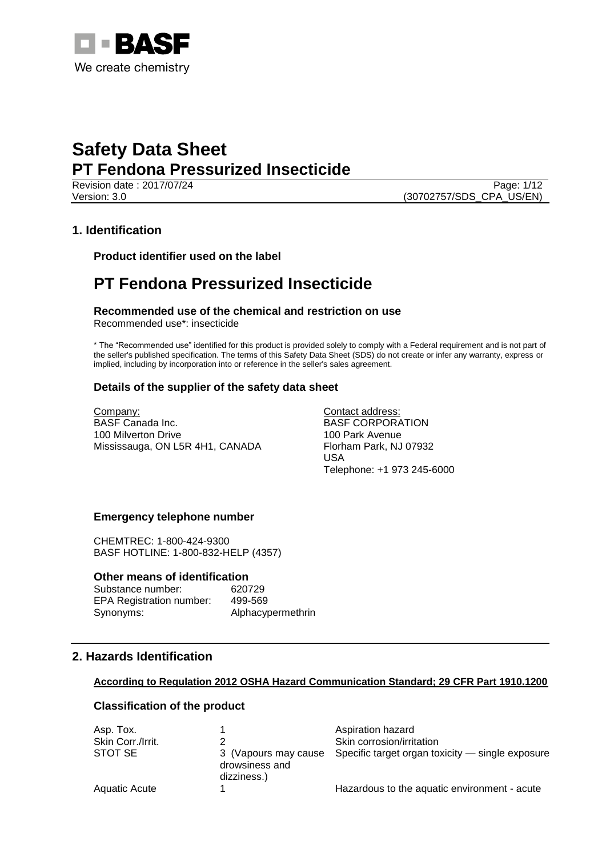

Revision date : 2017/07/24 Page: 1/12 Version: 3.0 (30702757/SDS\_CPA\_US/EN)

# **1. Identification**

**Product identifier used on the label**

# **PT Fendona Pressurized Insecticide**

**Recommended use of the chemical and restriction on use** Recommended use\*: insecticide

\* The "Recommended use" identified for this product is provided solely to comply with a Federal requirement and is not part of the seller's published specification. The terms of this Safety Data Sheet (SDS) do not create or infer any warranty, express or implied, including by incorporation into or reference in the seller's sales agreement.

# **Details of the supplier of the safety data sheet**

Company: BASF Canada Inc. 100 Milverton Drive Mississauga, ON L5R 4H1, CANADA Contact address: BASF CORPORATION 100 Park Avenue Florham Park, NJ 07932 USA Telephone: +1 973 245-6000

# **Emergency telephone number**

CHEMTREC: 1-800-424-9300 BASF HOTLINE: 1-800-832-HELP (4357)

### **Other means of identification**

Substance number: 620729 EPA Registration number: 499-569 Synonyms: Alphacypermethrin

# **2. Hazards Identification**

### **According to Regulation 2012 OSHA Hazard Communication Standard; 29 CFR Part 1910.1200**

# **Classification of the product**

| Asp. Tox.            |                                                       | Aspiration hazard                                |
|----------------------|-------------------------------------------------------|--------------------------------------------------|
| Skin Corr./Irrit.    |                                                       | Skin corrosion/irritation                        |
| STOT SE              | 3 (Vapours may cause<br>drowsiness and<br>dizziness.) | Specific target organ toxicity — single exposure |
| <b>Aquatic Acute</b> |                                                       | Hazardous to the aquatic environment - acute     |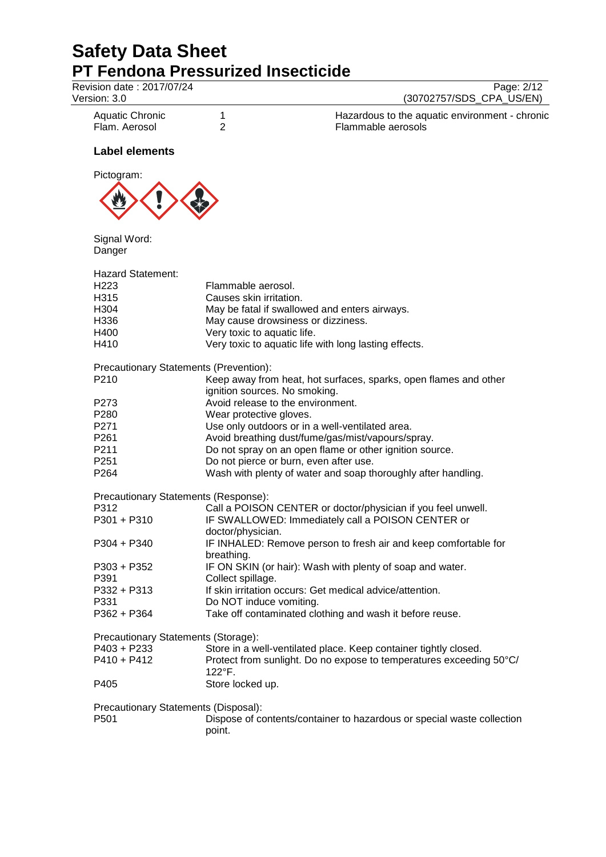| Revision date: 2017/07/24<br>Version: 3.0                                    |                                                                              | Page: 2/12<br>(30702757/SDS_CPA_US/EN)                                              |
|------------------------------------------------------------------------------|------------------------------------------------------------------------------|-------------------------------------------------------------------------------------|
| <b>Aquatic Chronic</b><br>Flam. Aerosol                                      | 1<br>$\overline{2}$                                                          | Hazardous to the aquatic environment - chronic<br>Flammable aerosols                |
| <b>Label elements</b>                                                        |                                                                              |                                                                                     |
| Pictogram:                                                                   |                                                                              |                                                                                     |
| Signal Word:<br>Danger                                                       |                                                                              |                                                                                     |
| <b>Hazard Statement:</b><br>H <sub>223</sub><br>H315<br>H304<br>H336<br>H400 | Flammable aerosol.<br>Causes skin irritation.<br>Very toxic to aquatic life. | May be fatal if swallowed and enters airways.<br>May cause drowsiness or dizziness. |
| H410                                                                         |                                                                              | Very toxic to aquatic life with long lasting effects.                               |
| Precautionary Statements (Prevention):<br>P210                               | ignition sources. No smoking.                                                | Keep away from heat, hot surfaces, sparks, open flames and other                    |
| P273                                                                         |                                                                              | Avoid release to the environment.                                                   |
| P280                                                                         | Wear protective gloves.                                                      |                                                                                     |
| P271                                                                         |                                                                              | Use only outdoors or in a well-ventilated area.                                     |
| P <sub>261</sub>                                                             |                                                                              | Avoid breathing dust/fume/gas/mist/vapours/spray.                                   |
| P211                                                                         |                                                                              | Do not spray on an open flame or other ignition source.                             |
| P <sub>251</sub>                                                             |                                                                              | Do not pierce or burn, even after use.                                              |
| P264                                                                         |                                                                              | Wash with plenty of water and soap thoroughly after handling.                       |
| Precautionary Statements (Response):                                         |                                                                              |                                                                                     |
| P312                                                                         |                                                                              | Call a POISON CENTER or doctor/physician if you feel unwell.                        |
| P301 + P310                                                                  |                                                                              | IF SWALLOWED: Immediately call a POISON CENTER or                                   |
| P304 + P340                                                                  | doctor/physician.                                                            | IF INHALED: Remove person to fresh air and keep comfortable for                     |
|                                                                              | breathing.                                                                   |                                                                                     |
| $P303 + P352$                                                                |                                                                              | IF ON SKIN (or hair): Wash with plenty of soap and water.                           |
| P391                                                                         | Collect spillage.                                                            |                                                                                     |
| P332 + P313                                                                  |                                                                              | If skin irritation occurs: Get medical advice/attention.                            |
| P331                                                                         | Do NOT induce vomiting.                                                      |                                                                                     |
| $P362 + P364$                                                                |                                                                              | Take off contaminated clothing and wash it before reuse.                            |
| Precautionary Statements (Storage):                                          |                                                                              |                                                                                     |
| P403 + P233                                                                  |                                                                              | Store in a well-ventilated place. Keep container tightly closed.                    |
| $P410 + P412$                                                                | 122°F.                                                                       | Protect from sunlight. Do no expose to temperatures exceeding 50°C/                 |
| P405                                                                         | Store locked up.                                                             |                                                                                     |
| Precautionary Statements (Disposal):                                         |                                                                              |                                                                                     |
| P501                                                                         | point.                                                                       | Dispose of contents/container to hazardous or special waste collection              |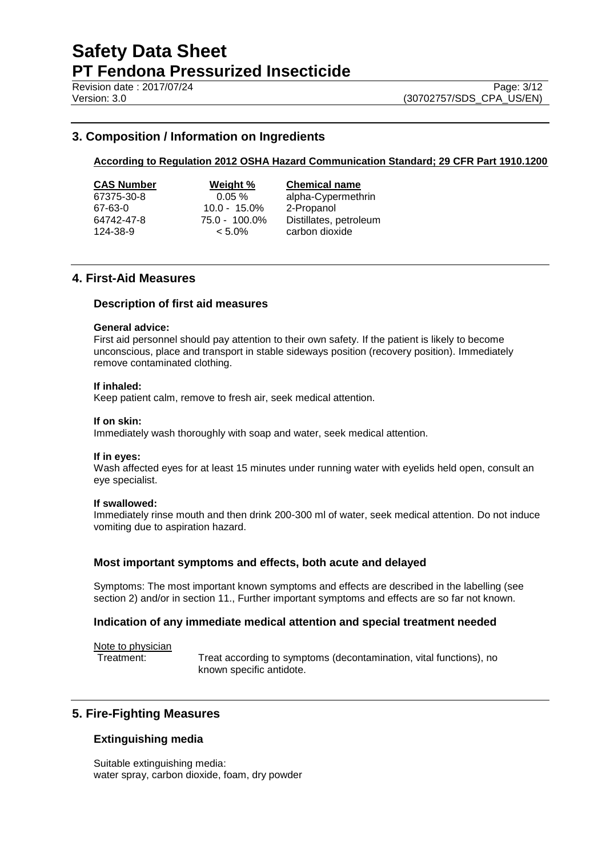Revision date : 2017/07/24 Page: 3/12

# **3. Composition / Information on Ingredients**

# **According to Regulation 2012 OSHA Hazard Communication Standard; 29 CFR Part 1910.1200**

| CAS Number |
|------------|
| 67375-30-8 |
| 67-63-0    |
| 64742-47-8 |
|            |

67-63-0 10.0 - 15.0% 2-Propanol

**Weight %** Chemical name 0.05 % alpha-Cypermethrin  $75.0 - 100.0\%$  Distillates, petroleum<br>  $\lt 5.0\%$  carbon dioxide 124-38-9 < 5.0% carbon dioxide

# **4. First-Aid Measures**

### **Description of first aid measures**

### **General advice:**

First aid personnel should pay attention to their own safety. If the patient is likely to become unconscious, place and transport in stable sideways position (recovery position). Immediately remove contaminated clothing.

### **If inhaled:**

Keep patient calm, remove to fresh air, seek medical attention.

#### **If on skin:**

Immediately wash thoroughly with soap and water, seek medical attention.

#### **If in eyes:**

Wash affected eyes for at least 15 minutes under running water with eyelids held open, consult an eye specialist.

#### **If swallowed:**

Immediately rinse mouth and then drink 200-300 ml of water, seek medical attention. Do not induce vomiting due to aspiration hazard.

### **Most important symptoms and effects, both acute and delayed**

Symptoms: The most important known symptoms and effects are described in the labelling (see section 2) and/or in section 11., Further important symptoms and effects are so far not known.

### **Indication of any immediate medical attention and special treatment needed**

Note to physician

Treatment: Treat according to symptoms (decontamination, vital functions), no known specific antidote.

# **5. Fire-Fighting Measures**

# **Extinguishing media**

Suitable extinguishing media: water spray, carbon dioxide, foam, dry powder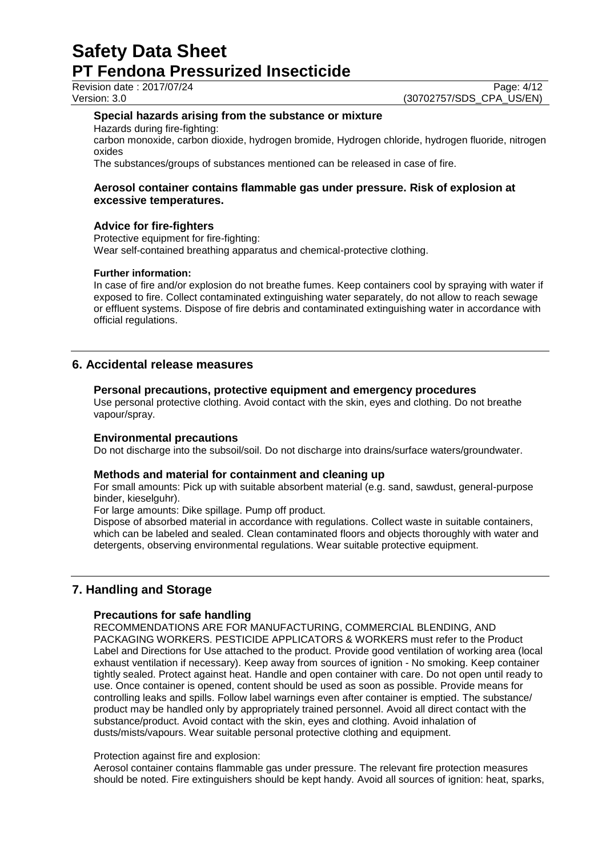Revision date : 2017/07/24 Page: 4/12

Version: 3.0 (30702757/SDS\_CPA\_US/EN)

## **Special hazards arising from the substance or mixture**

Hazards during fire-fighting:

carbon monoxide, carbon dioxide, hydrogen bromide, Hydrogen chloride, hydrogen fluoride, nitrogen oxides

The substances/groups of substances mentioned can be released in case of fire.

# **Aerosol container contains flammable gas under pressure. Risk of explosion at excessive temperatures.**

# **Advice for fire-fighters**

Protective equipment for fire-fighting: Wear self-contained breathing apparatus and chemical-protective clothing.

### **Further information:**

In case of fire and/or explosion do not breathe fumes. Keep containers cool by spraying with water if exposed to fire. Collect contaminated extinguishing water separately, do not allow to reach sewage or effluent systems. Dispose of fire debris and contaminated extinguishing water in accordance with official regulations.

# **6. Accidental release measures**

### **Personal precautions, protective equipment and emergency procedures**

Use personal protective clothing. Avoid contact with the skin, eyes and clothing. Do not breathe vapour/spray.

### **Environmental precautions**

Do not discharge into the subsoil/soil. Do not discharge into drains/surface waters/groundwater.

### **Methods and material for containment and cleaning up**

For small amounts: Pick up with suitable absorbent material (e.g. sand, sawdust, general-purpose binder, kieselguhr).

For large amounts: Dike spillage. Pump off product.

Dispose of absorbed material in accordance with regulations. Collect waste in suitable containers, which can be labeled and sealed. Clean contaminated floors and objects thoroughly with water and detergents, observing environmental regulations. Wear suitable protective equipment.

# **7. Handling and Storage**

### **Precautions for safe handling**

RECOMMENDATIONS ARE FOR MANUFACTURING, COMMERCIAL BLENDING, AND PACKAGING WORKERS. PESTICIDE APPLICATORS & WORKERS must refer to the Product Label and Directions for Use attached to the product. Provide good ventilation of working area (local exhaust ventilation if necessary). Keep away from sources of ignition - No smoking. Keep container tightly sealed. Protect against heat. Handle and open container with care. Do not open until ready to use. Once container is opened, content should be used as soon as possible. Provide means for controlling leaks and spills. Follow label warnings even after container is emptied. The substance/ product may be handled only by appropriately trained personnel. Avoid all direct contact with the substance/product. Avoid contact with the skin, eyes and clothing. Avoid inhalation of dusts/mists/vapours. Wear suitable personal protective clothing and equipment.

### Protection against fire and explosion:

Aerosol container contains flammable gas under pressure. The relevant fire protection measures should be noted. Fire extinguishers should be kept handy. Avoid all sources of ignition: heat, sparks,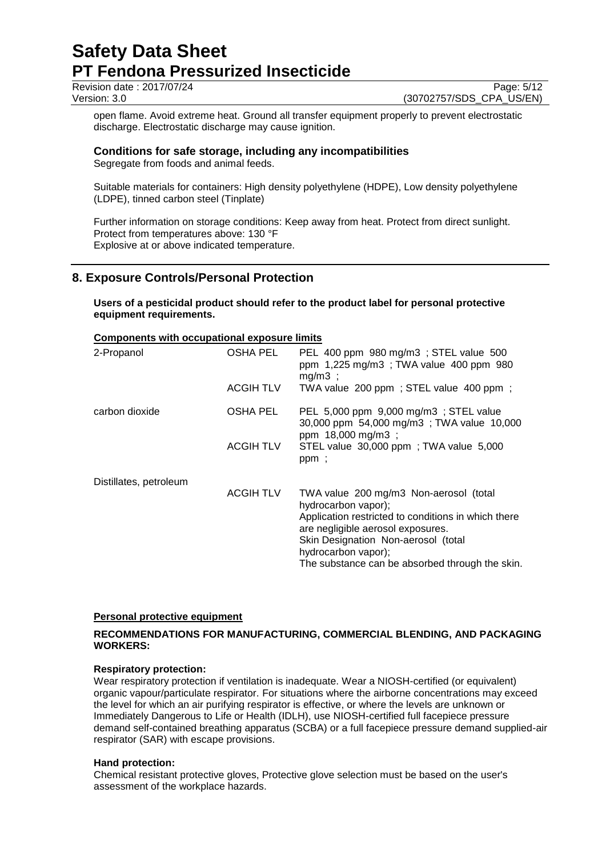Revision date : 2017/07/24 Page: 5/12<br>Version: 3.0 (30702757/SDS\_CPA\_US/EN)

(30702757/SDS\_CPA\_US/EN)

open flame. Avoid extreme heat. Ground all transfer equipment properly to prevent electrostatic discharge. Electrostatic discharge may cause ignition.

# **Conditions for safe storage, including any incompatibilities**

Segregate from foods and animal feeds.

Suitable materials for containers: High density polyethylene (HDPE), Low density polyethylene (LDPE), tinned carbon steel (Tinplate)

Further information on storage conditions: Keep away from heat. Protect from direct sunlight. Protect from temperatures above: 130 °F Explosive at or above indicated temperature.

# **8. Exposure Controls/Personal Protection**

**Users of a pesticidal product should refer to the product label for personal protective equipment requirements.**

## **Components with occupational exposure limits**

| 2-Propanol             | OSHA PEL<br><b>ACGIH TLV</b> | PEL 400 ppm 980 mg/m3 ; STEL value 500<br>ppm 1,225 mg/m3; TWA value 400 ppm 980<br>$mg/m3$ ;<br>TWA value 200 ppm ; STEL value 400 ppm ;                                                                                                                                  |
|------------------------|------------------------------|----------------------------------------------------------------------------------------------------------------------------------------------------------------------------------------------------------------------------------------------------------------------------|
|                        |                              |                                                                                                                                                                                                                                                                            |
| carbon dioxide         | OSHA PEL                     | PEL 5,000 ppm 9,000 mg/m3; STEL value<br>30,000 ppm 54,000 mg/m3; TWA value 10,000<br>ppm 18,000 mg/m3;                                                                                                                                                                    |
|                        | <b>ACGIH TLV</b>             | STEL value 30,000 ppm; TWA value 5,000<br>ppm;                                                                                                                                                                                                                             |
| Distillates, petroleum |                              |                                                                                                                                                                                                                                                                            |
|                        | <b>ACGIH TLV</b>             | TWA value 200 mg/m3 Non-aerosol (total<br>hydrocarbon vapor);<br>Application restricted to conditions in which there<br>are negligible aerosol exposures.<br>Skin Designation Non-aerosol (total<br>hydrocarbon vapor);<br>The substance can be absorbed through the skin. |

# **Personal protective equipment**

# **RECOMMENDATIONS FOR MANUFACTURING, COMMERCIAL BLENDING, AND PACKAGING WORKERS:**

### **Respiratory protection:**

Wear respiratory protection if ventilation is inadequate. Wear a NIOSH-certified (or equivalent) organic vapour/particulate respirator. For situations where the airborne concentrations may exceed the level for which an air purifying respirator is effective, or where the levels are unknown or Immediately Dangerous to Life or Health (IDLH), use NIOSH-certified full facepiece pressure demand self-contained breathing apparatus (SCBA) or a full facepiece pressure demand supplied-air respirator (SAR) with escape provisions.

### **Hand protection:**

Chemical resistant protective gloves, Protective glove selection must be based on the user's assessment of the workplace hazards.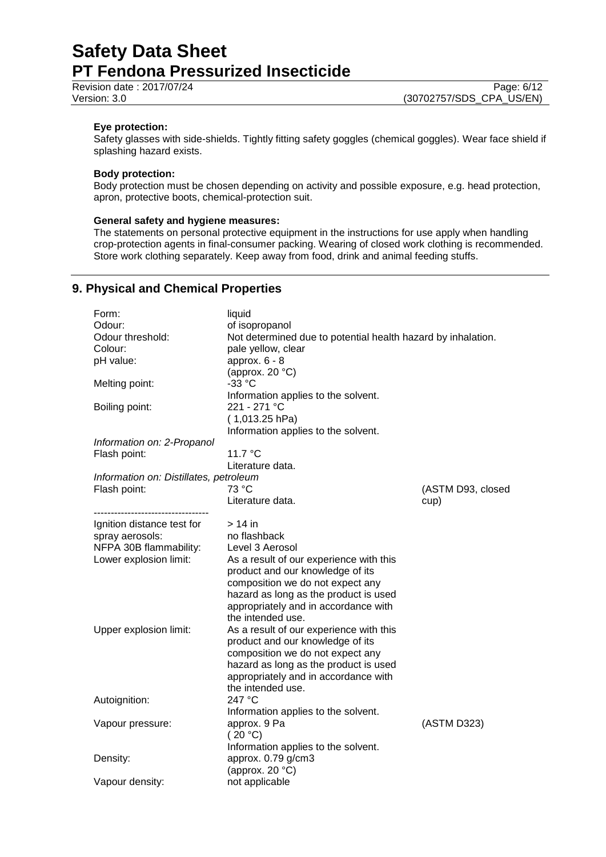Revision date : 2017/07/24 Page: 6/12<br>
Version: 3.0 (30702757/SDS\_CPA\_US/EN)

## **Eye protection:**

Safety glasses with side-shields. Tightly fitting safety goggles (chemical goggles). Wear face shield if splashing hazard exists.

## **Body protection:**

Body protection must be chosen depending on activity and possible exposure, e.g. head protection, apron, protective boots, chemical-protection suit.

### **General safety and hygiene measures:**

The statements on personal protective equipment in the instructions for use apply when handling crop-protection agents in final-consumer packing. Wearing of closed work clothing is recommended. Store work clothing separately. Keep away from food, drink and animal feeding stuffs.

# **9. Physical and Chemical Properties**

| Form:                                  | liquid                                                       |                   |
|----------------------------------------|--------------------------------------------------------------|-------------------|
| Odour:                                 | of isopropanol                                               |                   |
| Odour threshold:                       | Not determined due to potential health hazard by inhalation. |                   |
| Colour:                                | pale yellow, clear                                           |                   |
| pH value:                              | approx. $6 - 8$                                              |                   |
|                                        | (approx. $20 °C$ )                                           |                   |
| Melting point:                         | $-33 °C$                                                     |                   |
|                                        | Information applies to the solvent.                          |                   |
| Boiling point:                         | 221 - 271 °C                                                 |                   |
|                                        | $(1,013.25$ hPa)                                             |                   |
|                                        | Information applies to the solvent.                          |                   |
| Information on: 2-Propanol             |                                                              |                   |
| Flash point:                           | 11.7 °C                                                      |                   |
|                                        | Literature data.                                             |                   |
| Information on: Distillates, petroleum |                                                              |                   |
| Flash point:                           | 73 °C                                                        | (ASTM D93, closed |
|                                        | Literature data.                                             | cup)              |
| ----------------------------           |                                                              |                   |
| Ignition distance test for             | > 14 in                                                      |                   |
| spray aerosols:                        | no flashback                                                 |                   |
| NFPA 30B flammability:                 | Level 3 Aerosol                                              |                   |
| Lower explosion limit:                 | As a result of our experience with this                      |                   |
|                                        | product and our knowledge of its                             |                   |
|                                        | composition we do not expect any                             |                   |
|                                        | hazard as long as the product is used                        |                   |
|                                        | appropriately and in accordance with                         |                   |
|                                        | the intended use.                                            |                   |
| Upper explosion limit:                 | As a result of our experience with this                      |                   |
|                                        | product and our knowledge of its                             |                   |
|                                        | composition we do not expect any                             |                   |
|                                        | hazard as long as the product is used                        |                   |
|                                        | appropriately and in accordance with<br>the intended use.    |                   |
|                                        | 247 °C                                                       |                   |
| Autoignition:                          |                                                              |                   |
|                                        | Information applies to the solvent.<br>approx. 9 Pa          | (ASTM D323)       |
| Vapour pressure:                       | (20 °C)                                                      |                   |
|                                        | Information applies to the solvent.                          |                   |
| Density:                               | approx. 0.79 g/cm3                                           |                   |
|                                        | (approx. $20 °C$ )                                           |                   |
| Vapour density:                        | not applicable                                               |                   |
|                                        |                                                              |                   |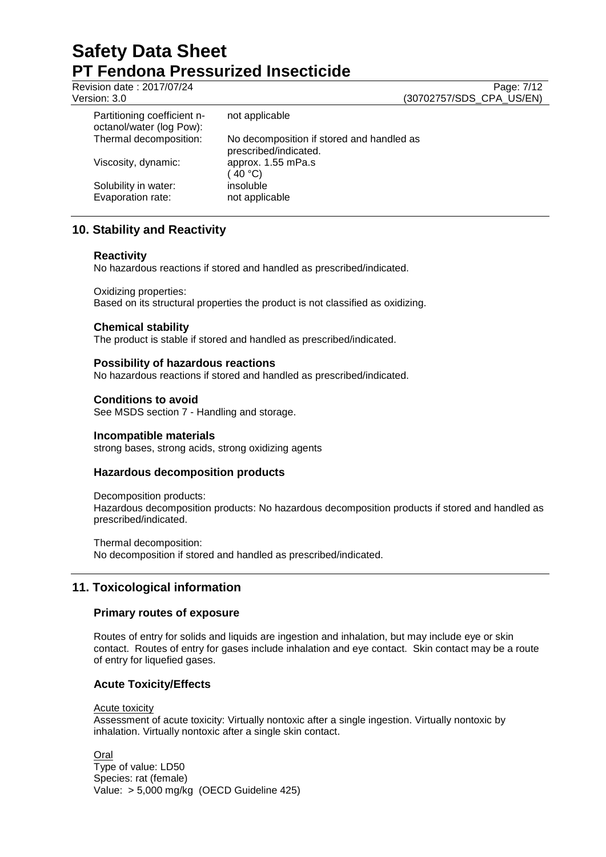Revision date : 2017/07/24 Page: 7/12

Version: 3.0 (30702757/SDS\_CPA\_US/EN)

| Partitioning coefficient n-<br>octanol/water (log Pow): | not applicable                                                     |
|---------------------------------------------------------|--------------------------------------------------------------------|
| Thermal decomposition:                                  | No decomposition if stored and handled as<br>prescribed/indicated. |
| Viscosity, dynamic:                                     | approx. 1.55 mPa.s<br>(40 °C)                                      |
| Solubility in water:<br>Evaporation rate:               | insoluble<br>not applicable                                        |

# **10. Stability and Reactivity**

# **Reactivity**

No hazardous reactions if stored and handled as prescribed/indicated.

Oxidizing properties:

Based on its structural properties the product is not classified as oxidizing.

# **Chemical stability**

The product is stable if stored and handled as prescribed/indicated.

# **Possibility of hazardous reactions**

No hazardous reactions if stored and handled as prescribed/indicated.

# **Conditions to avoid**

See MSDS section 7 - Handling and storage.

# **Incompatible materials**

strong bases, strong acids, strong oxidizing agents

# **Hazardous decomposition products**

Decomposition products: Hazardous decomposition products: No hazardous decomposition products if stored and handled as prescribed/indicated.

Thermal decomposition:

No decomposition if stored and handled as prescribed/indicated.

# **11. Toxicological information**

# **Primary routes of exposure**

Routes of entry for solids and liquids are ingestion and inhalation, but may include eye or skin contact. Routes of entry for gases include inhalation and eye contact. Skin contact may be a route of entry for liquefied gases.

# **Acute Toxicity/Effects**

Acute toxicity

Assessment of acute toxicity: Virtually nontoxic after a single ingestion. Virtually nontoxic by inhalation. Virtually nontoxic after a single skin contact.

**Oral** 

Type of value: LD50 Species: rat (female) Value: > 5,000 mg/kg (OECD Guideline 425)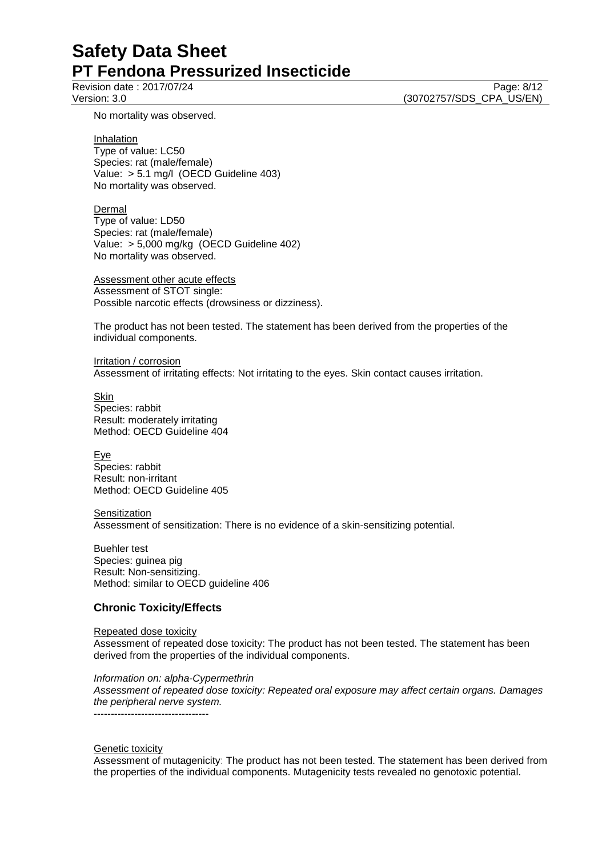Revision date : 2017/07/24 Page: 8/12 Version: 3.0 (30702757/SDS\_CPA\_US/EN)

No mortality was observed.

**Inhalation** 

Type of value: LC50 Species: rat (male/female) Value: > 5.1 mg/l (OECD Guideline 403) No mortality was observed.

Dermal Type of value: LD50 Species: rat (male/female) Value: > 5,000 mg/kg (OECD Guideline 402) No mortality was observed.

Assessment other acute effects Assessment of STOT single: Possible narcotic effects (drowsiness or dizziness).

The product has not been tested. The statement has been derived from the properties of the individual components.

Irritation / corrosion Assessment of irritating effects: Not irritating to the eyes. Skin contact causes irritation.

**Skin** Species: rabbit Result: moderately irritating Method: OECD Guideline 404

Eye Species: rabbit Result: non-irritant Method: OECD Guideline 405

**Sensitization** 

Assessment of sensitization: There is no evidence of a skin-sensitizing potential.

Buehler test Species: guinea pig Result: Non-sensitizing. Method: similar to OECD guideline 406

# **Chronic Toxicity/Effects**

Repeated dose toxicity Assessment of repeated dose toxicity: The product has not been tested. The statement has been derived from the properties of the individual components.

*Information on: alpha-Cypermethrin*

*Assessment of repeated dose toxicity: Repeated oral exposure may affect certain organs. Damages the peripheral nerve system.* ----------------------------------

Genetic toxicity

Assessment of mutagenicity: The product has not been tested. The statement has been derived from the properties of the individual components. Mutagenicity tests revealed no genotoxic potential.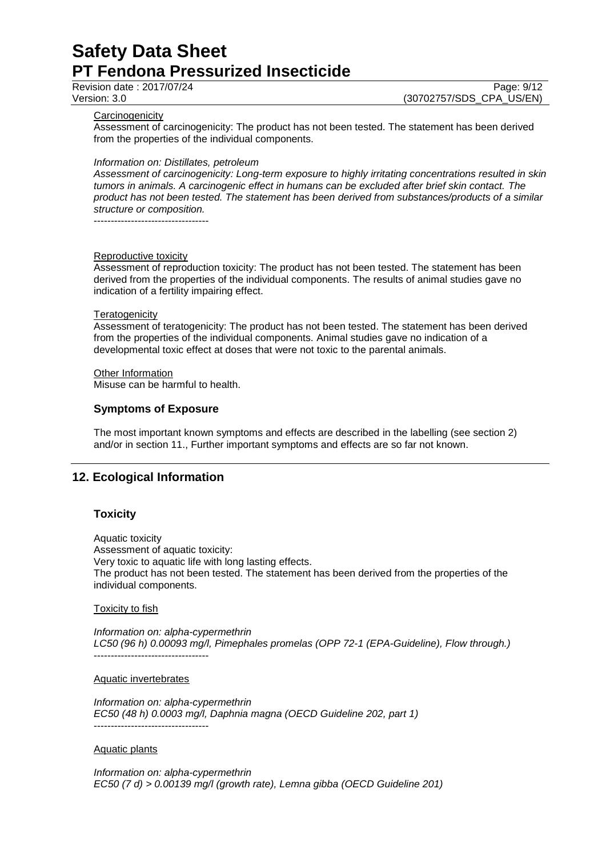Revision date : 2017/07/24 Page: 9/12

Version: 3.0 (30702757/SDS\_CPA\_US/EN)

### **Carcinogenicity**

Assessment of carcinogenicity: The product has not been tested. The statement has been derived from the properties of the individual components.

### *Information on: Distillates, petroleum*

*Assessment of carcinogenicity: Long-term exposure to highly irritating concentrations resulted in skin tumors in animals. A carcinogenic effect in humans can be excluded after brief skin contact. The product has not been tested. The statement has been derived from substances/products of a similar structure or composition.*

----------------------------------

### Reproductive toxicity

Assessment of reproduction toxicity: The product has not been tested. The statement has been derived from the properties of the individual components. The results of animal studies gave no indication of a fertility impairing effect.

### **Teratogenicity**

Assessment of teratogenicity: The product has not been tested. The statement has been derived from the properties of the individual components. Animal studies gave no indication of a developmental toxic effect at doses that were not toxic to the parental animals.

Other Information

Misuse can be harmful to health.

# **Symptoms of Exposure**

The most important known symptoms and effects are described in the labelling (see section 2) and/or in section 11., Further important symptoms and effects are so far not known.

# **12. Ecological Information**

# **Toxicity**

Aquatic toxicity Assessment of aquatic toxicity: Very toxic to aquatic life with long lasting effects. The product has not been tested. The statement has been derived from the properties of the individual components.

### Toxicity to fish

*Information on: alpha-cypermethrin LC50 (96 h) 0.00093 mg/l, Pimephales promelas (OPP 72-1 (EPA-Guideline), Flow through.)* ----------------------------------

Aquatic invertebrates

*Information on: alpha-cypermethrin EC50 (48 h) 0.0003 mg/l, Daphnia magna (OECD Guideline 202, part 1)* ----------------------------------

Aquatic plants

*Information on: alpha-cypermethrin EC50 (7 d) > 0.00139 mg/l (growth rate), Lemna gibba (OECD Guideline 201)*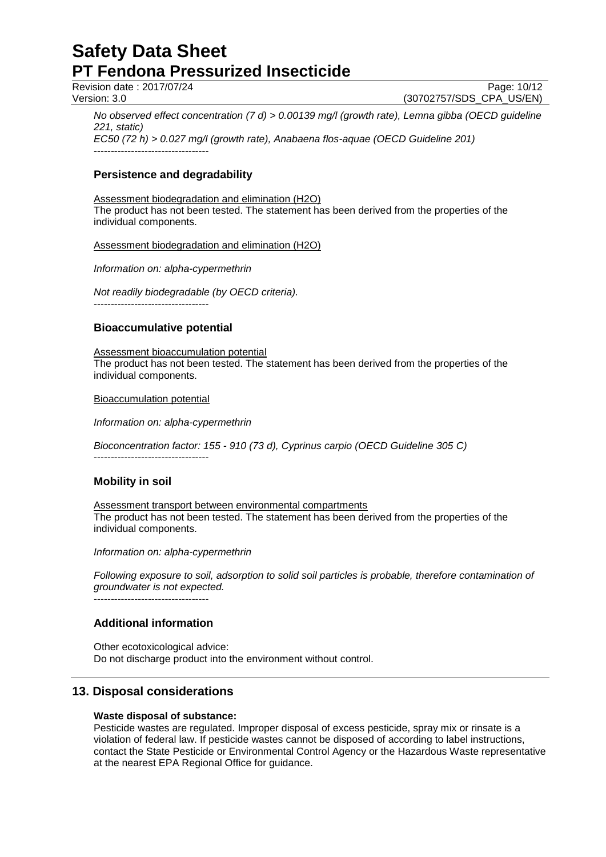Revision date : 2017/07/24 Page: 10/12

----------------------------------

Version: 3.0 (30702757/SDS\_CPA\_US/EN)

*No observed effect concentration (7 d) > 0.00139 mg/l (growth rate), Lemna gibba (OECD guideline 221, static) EC50 (72 h) > 0.027 mg/l (growth rate), Anabaena flos-aquae (OECD Guideline 201)*

# **Persistence and degradability**

Assessment biodegradation and elimination (H2O) The product has not been tested. The statement has been derived from the properties of the individual components.

Assessment biodegradation and elimination (H2O)

*Information on: alpha-cypermethrin*

*Not readily biodegradable (by OECD criteria).* ----------------------------------

# **Bioaccumulative potential**

Assessment bioaccumulation potential The product has not been tested. The statement has been derived from the properties of the individual components.

Bioaccumulation potential

*Information on: alpha-cypermethrin*

*Bioconcentration factor: 155 - 910 (73 d), Cyprinus carpio (OECD Guideline 305 C)*

----------------------------------

# **Mobility in soil**

Assessment transport between environmental compartments The product has not been tested. The statement has been derived from the properties of the individual components.

### *Information on: alpha-cypermethrin*

*Following exposure to soil, adsorption to solid soil particles is probable, therefore contamination of groundwater is not expected.*

----------------------------------

# **Additional information**

Other ecotoxicological advice: Do not discharge product into the environment without control.

# **13. Disposal considerations**

# **Waste disposal of substance:**

Pesticide wastes are regulated. Improper disposal of excess pesticide, spray mix or rinsate is a violation of federal law. If pesticide wastes cannot be disposed of according to label instructions, contact the State Pesticide or Environmental Control Agency or the Hazardous Waste representative at the nearest EPA Regional Office for guidance.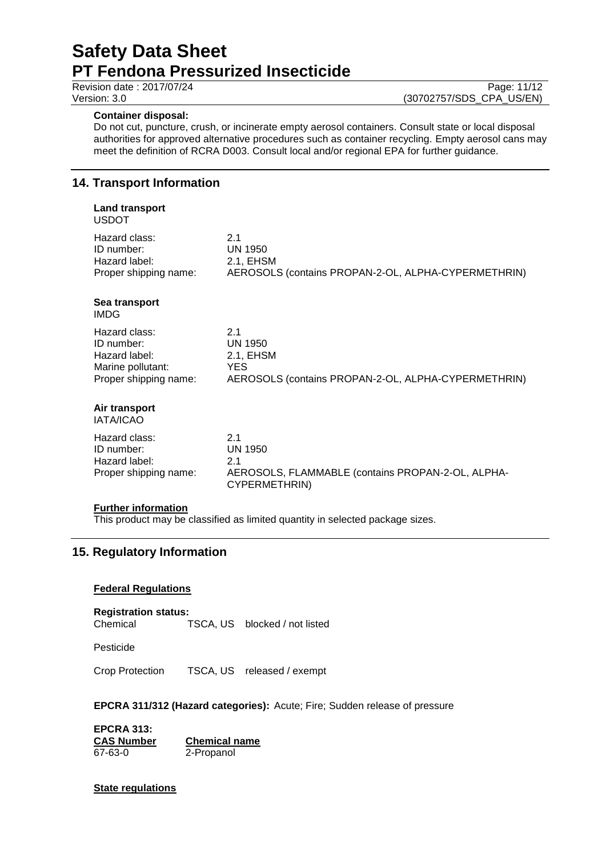### **Container disposal:**

Do not cut, puncture, crush, or incinerate empty aerosol containers. Consult state or local disposal authorities for approved alternative procedures such as container recycling. Empty aerosol cans may meet the definition of RCRA D003. Consult local and/or regional EPA for further guidance.

# **14. Transport Information**

#### **Land transport** USDOT

| וטשטט                                                                                      |                                                                                                  |
|--------------------------------------------------------------------------------------------|--------------------------------------------------------------------------------------------------|
| Hazard class:<br>ID number:<br>Hazard label:<br>Proper shipping name:                      | 2.1<br><b>UN 1950</b><br>2.1, EHSM<br>AEROSOLS (contains PROPAN-2-OL, ALPHA-CYPERMETHRIN)        |
| Sea transport<br><b>IMDG</b>                                                               |                                                                                                  |
| Hazard class:<br>ID number:<br>Hazard label:<br>Marine pollutant:<br>Proper shipping name: | 2.1<br>UN 1950<br>2.1, EHSM<br><b>YES</b><br>AEROSOLS (contains PROPAN-2-OL, ALPHA-CYPERMETHRIN) |
| Air transport<br>IATA/ICA <sub>O</sub>                                                     |                                                                                                  |

IATA/ICAO

| 21                                                                 |
|--------------------------------------------------------------------|
| UN 1950                                                            |
| -21                                                                |
| AEROSOLS, FLAMMABLE (contains PROPAN-2-OL, ALPHA-<br>CYPERMETHRIN) |
|                                                                    |

### **Further information**

This product may be classified as limited quantity in selected package sizes.

# **15. Regulatory Information**

### **Federal Regulations**

**Registration status:** Chemical TSCA, US blocked / not listed

Pesticide

Crop Protection TSCA, US released / exempt

**EPCRA 311/312 (Hazard categories):** Acute; Fire; Sudden release of pressure

**EPCRA 313: CAS Number Chemical name** 2-Propanol

**State regulations**

## Revision date : 2017/07/24 Page: 11/12<br>Version: 3.0 (30702757/SDS\_CPA\_US/EN) (30702757/SDS\_CPA\_US/EN)